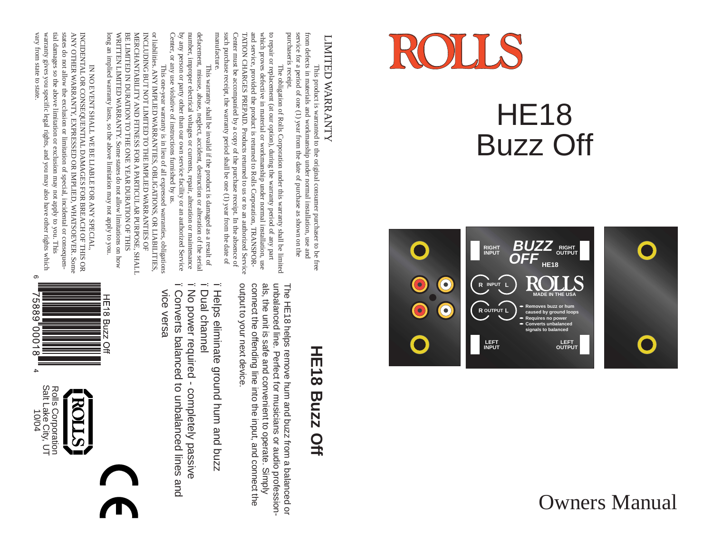

### HE18 Buzz Off





# LIMITED WARRANTY LIMITED WARRANTY

purchaserís receipt purchaserís receipt. service for a period of one  $(1)$  year from the date of purchase as shown on the service for a period of one (1) year from the date of purchase as shown on the from defects in materials and workmanship under normal installation, use and from defects in materials and workmanship under normal installation, use and This product is warranted to the original consumer purchaser to be free This product is warranted to the original consumer purchaser to be free

to repair or replacement (at our option), during the warranty period of any part which proves defective in material or workmanship under normal installation, use manutacture. manufacture. such purchase receipt, the warranty period shall be one (1) year from the date of such purchase receipt, the warranty period shall be one (1) year from the date of Center must be accompanied by a copy of the purchase receipt. In the absence of Center must be accompanied by a copy of the purchase receipt. In the absence of TATION CHARGES PREPAID. Products returned to us or to an authorized Service TATION CHARGES PREPAID. Products returned to us or to an authorized Service and service, provided the product is returned to Rolls Corporation, TRANSPORand service, provided the product is returned to Rolls Corporation, TRANSPORwhich proves defective in material or workmanship under normal installation, use to repair or replacement (at our option), during the warranty period of any part The obligation of Rolls Corporation under this warranty shall be limited The obligation of Rolls Corporation under this warranty shall be limited

defacement, misuse, abuse, neglect, accident, destruction or alteration of the serial defacement, misuse, abuse, neglect, accident, destruction vertents. Center, or any use violative of instructions furnished by us. Center, or any use violative of instructions furnished by us. by any person or party other than our own service facility or an authorized Service by any person or party other than our own service facility or an authorized Service number, improper electrical voltages or currents, repair, alteration or maintenance defacement, misuse, abuse, neglect, accident, destruction or alteration of the serial This warranty shall be invalid if the product is damaged as a result of This warranty shall be invalid if the product is damaged as a result of

long an implied warranty lasts, so long an implied warranty lasts, so the above limitation may not apply to you. WRITTEN LIMITED WARRANTY. Some states do not allow limitations on how WRITTEN LIMITED WARRANTY. Some states do not allow limitations on how BE LIMITED IN DURATION TO THE ONE YEAR DURATION OF THIS BE LIMITED IN DURATION TO THE ONE YEAR DURATION OF THIS MERCHANTABILITY AND FITNESS FOR A PARTICULAR PURPOSE, SHALL MERCHANTABILITY AND FITNESS FOR A PARTICULAR PURPOSE, SHALL INCLUDING BUT NOT LIMITED TO THE IMPLIED WARRANTIES OF INCLUDING BUT NOT LIMITED TO THE IMPLIED WARRANTIES OF or liabilities. ANY IMPLIED WARRANTIES, OBLIGATIONS, OR LIABILITIES, or liabilities. ANY IMPLIED WARRANTIES, OBLIGATIONS, OR LIABILITIES, This one-year warranty is in lieu of all expressed warranties, obligation This one-year warranty is in lieu of all expressed warranties, obligations the above limitation may not apply to you.

tial damages so the above limitation or exclusion may not apply to you. This vary from state to state vary from state to state. warranty gives you specific legal rights, and you may also have other rights which warranty gives you specific legal rights, and you may also have other rights which tial damages so the above limitation or exclusion may not apply to you. This states do not allow the exclusion or limitation of special, incidental or consequenstates do not allow the exclusion or limitation of special, incidental or consequen-ANY OTHER WARRANTY, EXPRESSED OR IMPLIED, WHATSOEVER. Some ANY OTHER WARRANTY, EXPRESSED OR IMPLIED, WHATSOEVER. Some INCIDENTAL OR CONSEQUENTIAL DAMAGES FOR BREACH OF THIS OR INCIDENTAL OR CONSEQUENTIAL DAMAGES FOR BREACH OF THIS OR IN NO EVENT SHALL WE BE LIABLE FOR ANY SPECIAL IN NO EVENT SHALL WE BE LIABLE FOR ANY SPECIAL, ၜ

## HE18 **HE18 Buzz Off Buzz Off**

output to your next device connect the offending line into the input, and connect the als, the unit is safe and convenient to operate. Simply unbalanced line. Perfect for musicians or audio professionoutput to your next device. connect the offending line into the input, and connect the als, the unit is safe and convenient to operate. Simply The HE18 helps remove hum and buzz from a balanced or The HE18 helps remove hum and buzz from a balanced or unbalanced line. Perfect for musicians or audio profession-

- ï Helps eliminate ground hum and buzz eliminate ground hum and buzz
- $$ ï Dual channel **Dual channel**
- T Converts balanced to unbalanced lines and  $-\epsilon$  vice versa ï Converts ï No power required - completely passive No power required - completely passive balanced to unbalanced lines and

VICe Versa





888

000.

 $\infty$  $\overline{\mathbf{4}}$